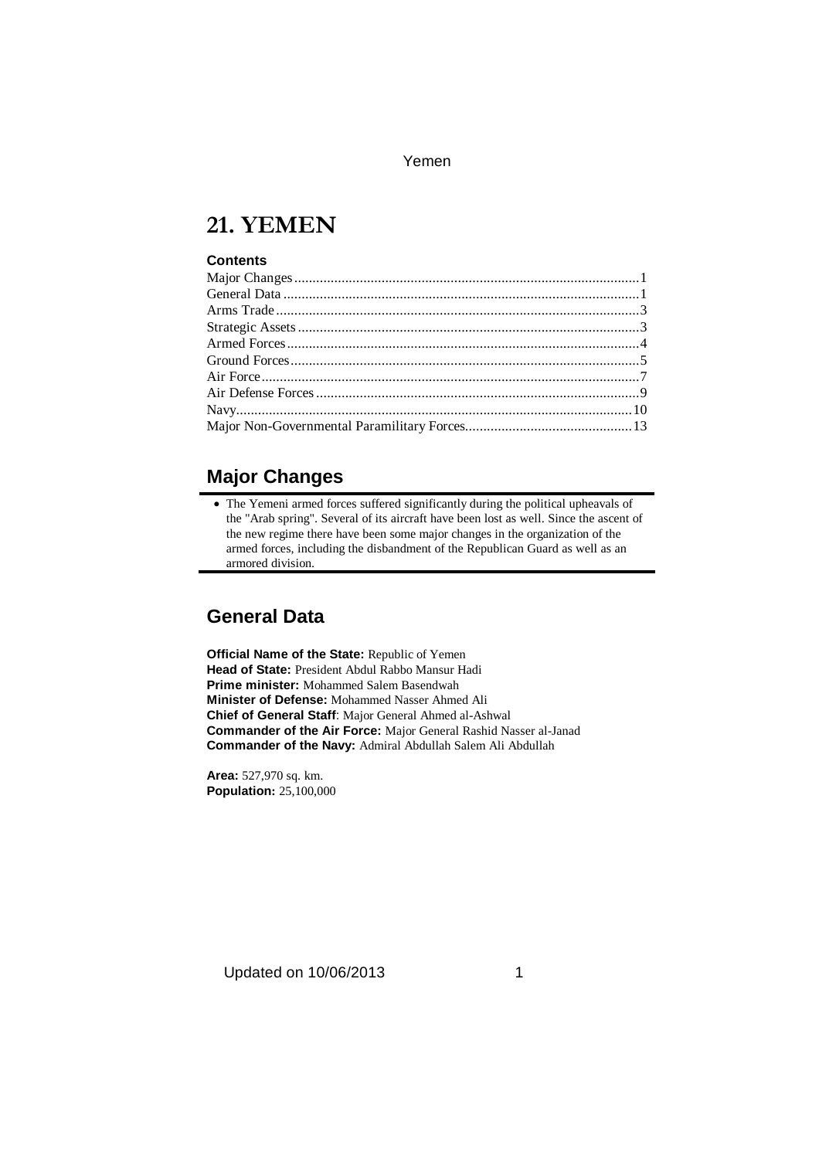# 21. YEMEN

### **Contents**

# **Major Changes**

• The Yemeni armed forces suffered significantly during the political upheavals of the "Arab spring". Several of its aircraft have been lost as well. Since the ascent of the new regime there have been some major changes in the organization of the armed forces, including the disbandment of the Republican Guard as well as an armored division.

# **General Data**

**Official Name of the State:** Republic of Yemen **Head of State:** President Abdul Rabbo Mansur Hadi **Prime minister:** Mohammed Salem Basendwah **Minister of Defense:** Mohammed Nasser Ahmed Ali **Chief of General Staff**: Major General Ahmed al-Ashwal **Commander of the Air Force:** Major General Rashid Nasser al-Janad **Commander of the Navy:** Admiral Abdullah Salem Ali Abdullah

**Area:** 527,970 sq. km. **Population:** 25,100,000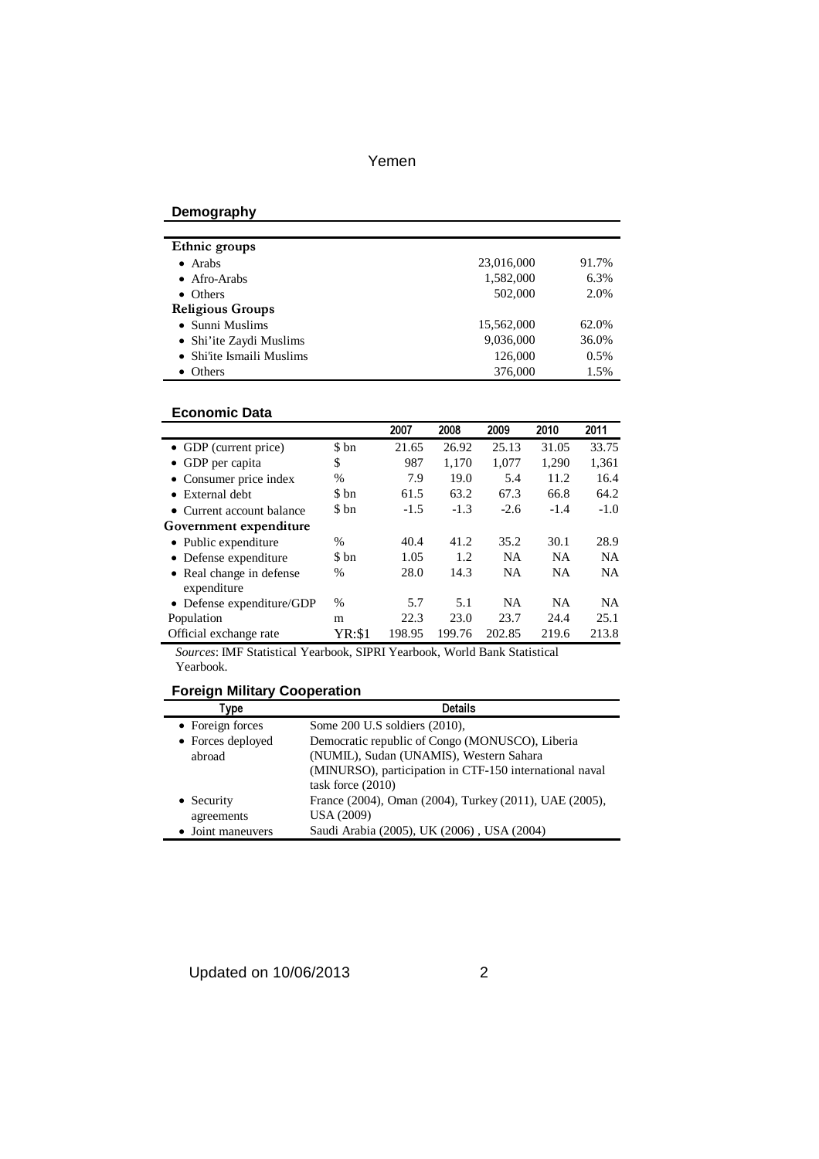## **Demography**

| Ethnic groups             |            |       |
|---------------------------|------------|-------|
| $\bullet$ Arabs           | 23,016,000 | 91.7% |
| $\bullet$ Afro-Arabs      | 1,582,000  | 6.3%  |
| • Others                  | 502,000    | 2.0%  |
| <b>Religious Groups</b>   |            |       |
| • Sunni Muslims           | 15,562,000 | 62.0% |
| • Shi'ite Zaydi Muslims   | 9,036,000  | 36.0% |
| • Shi'ite Ismaili Muslims | 126,000    | 0.5%  |
| • Others                  | 376,000    | 1.5%  |

#### **Economic Data**

|                           |               | 2007   | 2008   | 2009      | 2010      | 2011      |
|---------------------------|---------------|--------|--------|-----------|-----------|-----------|
| • GDP (current price)     | \$ bn         | 21.65  | 26.92  | 25.13     | 31.05     | 33.75     |
| • GDP per capita          | \$            | 987    | 1.170  | 1.077     | 1,290     | 1,361     |
| • Consumer price index    | $\%$          | 7.9    | 19.0   | 5.4       | 11.2      | 16.4      |
| $\bullet$ External debt   | \$ bn         | 61.5   | 63.2   | 67.3      | 66.8      | 64.2      |
| • Current account balance | \$ bn         | $-1.5$ | $-1.3$ | $-2.6$    | $-1.4$    | $-1.0$    |
| Government expenditure    |               |        |        |           |           |           |
| • Public expenditure      | $\frac{0}{0}$ | 40.4   | 41.2   | 35.2      | 30.1      | 28.9      |
| • Defense expenditure     | \$ bn         | 1.05   | 1.2    | <b>NA</b> | <b>NA</b> | <b>NA</b> |
| • Real change in defense  | $\frac{0}{0}$ | 28.0   | 14.3   | <b>NA</b> | <b>NA</b> | <b>NA</b> |
| expenditure               |               |        |        |           |           |           |
| • Defense expenditure/GDP | $\frac{0}{0}$ | 5.7    | 5.1    | <b>NA</b> | <b>NA</b> | NA.       |
| Population                | m             | 22.3   | 23.0   | 23.7      | 24.4      | 25.1      |
| Official exchange rate    | YR:\$1        | 198.95 | 199.76 | 202.85    | 219.6     | 213.8     |

*Sources*: IMF Statistical Yearbook, SIPRI Yearbook, World Bank Statistical Yearbook.

# **Foreign Military Cooperation**

| Type              | <b>Details</b>                                          |
|-------------------|---------------------------------------------------------|
| • Foreign forces  | Some $200$ U.S soldiers $(2010)$ ,                      |
| • Forces deployed | Democratic republic of Congo (MONUSCO), Liberia         |
| abroad            | (NUMIL), Sudan (UNAMIS), Western Sahara                 |
|                   | (MINURSO), participation in CTF-150 international naval |
|                   | task force (2010)                                       |
| • Security        | France (2004), Oman (2004), Turkey (2011), UAE (2005),  |
| agreements        | <b>USA (2009)</b>                                       |
| • Joint maneuvers | Saudi Arabia (2005), UK (2006), USA (2004)              |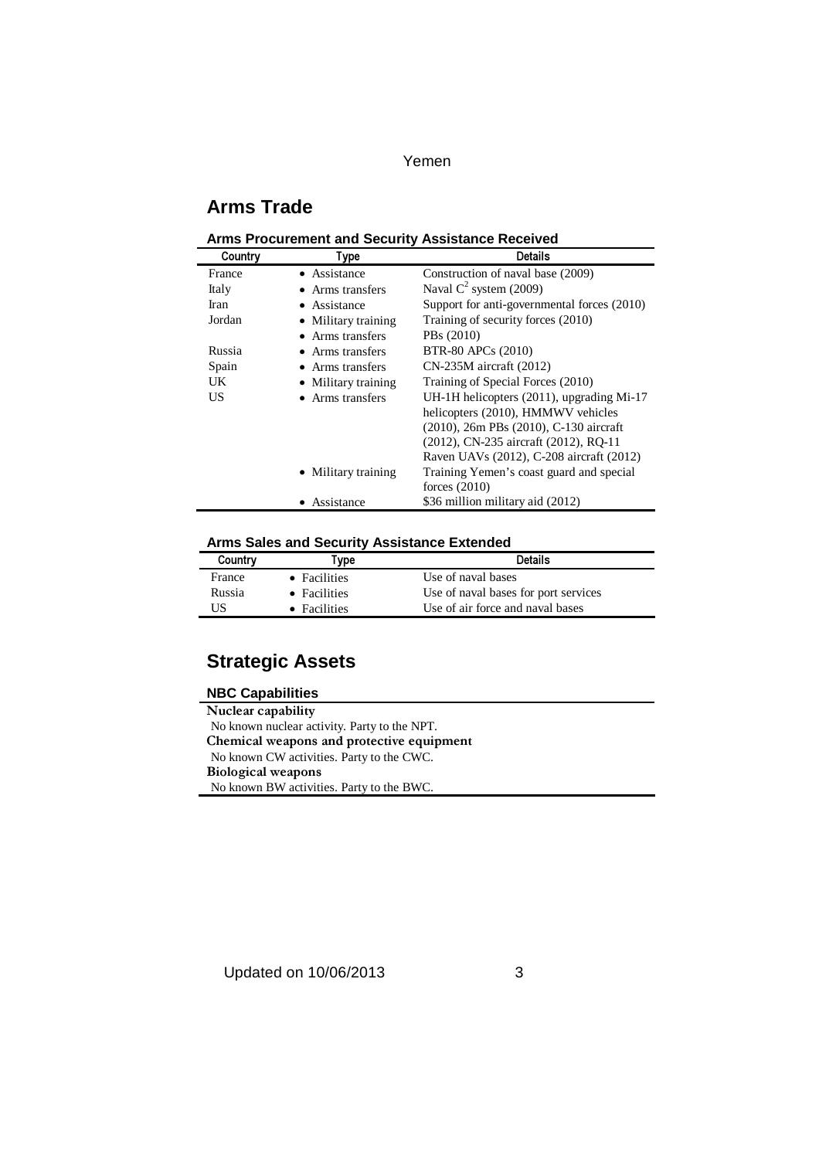# **Arms Trade**

# **Arms Procurement and Security Assistance Received**

| Country | Type                | <b>Details</b>                               |
|---------|---------------------|----------------------------------------------|
| France  | • Assistance        | Construction of naval base (2009)            |
| Italy   | • Arms transfers    | Naval $C^2$ system (2009)                    |
| Iran    | • Assistance        | Support for anti-governmental forces (2010)  |
| Jordan  | • Military training | Training of security forces (2010)           |
|         | • Arms transfers    | PBs (2010)                                   |
| Russia  | • Arms transfers    | BTR-80 APCs (2010)                           |
| Spain   | • Arms transfers    | $CN-235M$ aircraft $(2012)$                  |
| UK      | • Military training | Training of Special Forces (2010)            |
| US      | • Arms transfers    | UH-1H helicopters $(2011)$ , upgrading Mi-17 |
|         |                     | helicopters (2010), HMMWV vehicles           |
|         |                     | (2010), 26m PBs (2010), C-130 aircraft       |
|         |                     | (2012), CN-235 aircraft (2012), RO-11        |
|         |                     | Raven UAVs (2012), C-208 aircraft (2012)     |
|         | • Military training | Training Yemen's coast guard and special     |
|         |                     | forces $(2010)$                              |
|         | Assistance          | \$36 million military aid (2012)             |

### **Arms Sales and Security Assistance Extended**

|         | Alling barco and becamity Addictanted Extended |                                      |  |  |
|---------|------------------------------------------------|--------------------------------------|--|--|
| Country | vpe]                                           | <b>Details</b>                       |  |  |
| France  | • Facilities                                   | Use of naval bases                   |  |  |
| Russia  | • Facilities                                   | Use of naval bases for port services |  |  |
| US      | • Facilities                                   | Use of air force and naval bases     |  |  |

# **Strategic Assets**

### **NBC Capabilities**

| Nuclear capability                           |  |
|----------------------------------------------|--|
| No known nuclear activity. Party to the NPT. |  |
| Chemical weapons and protective equipment    |  |
| No known CW activities. Party to the CWC.    |  |
| <b>Biological weapons</b>                    |  |
| No known BW activities. Party to the BWC.    |  |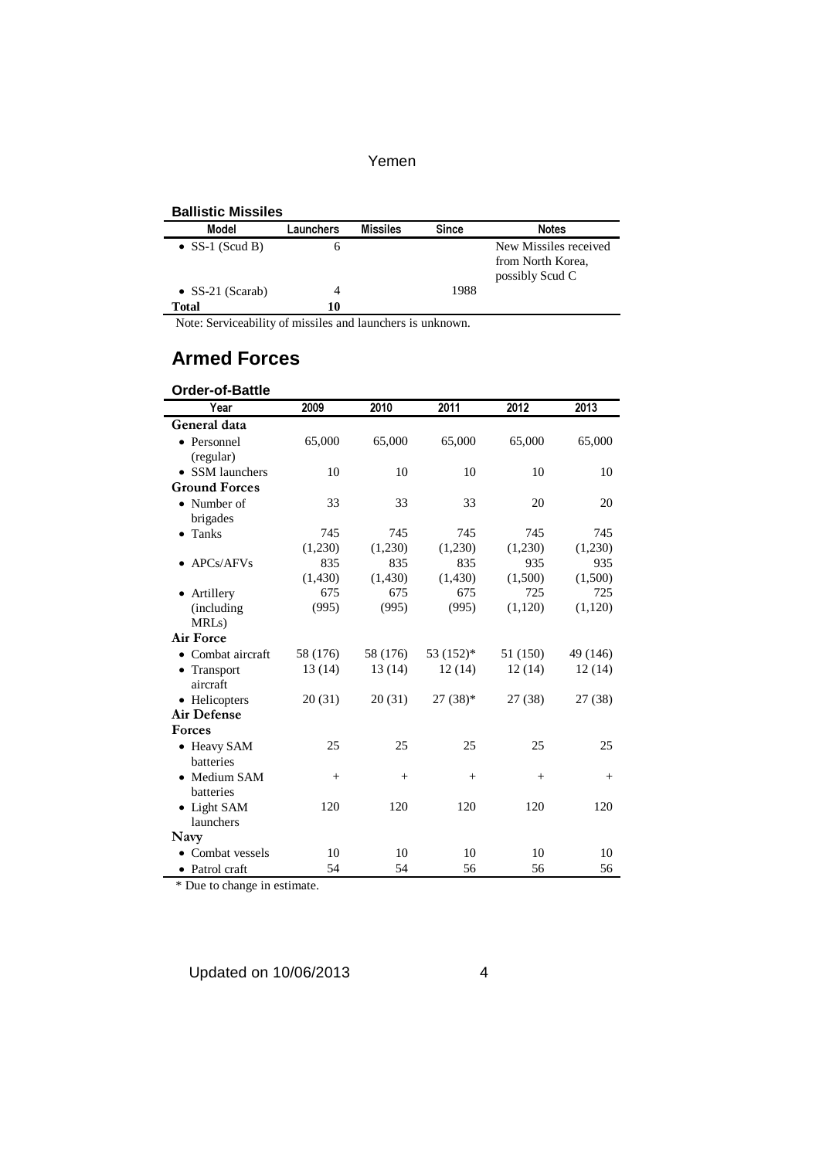### **Ballistic Missiles**

| Model                    | Launchers    | <b>Missiles</b> | Since | <b>Notes</b>          |
|--------------------------|--------------|-----------------|-------|-----------------------|
| $\bullet$ SS-1 (Scud B)  | <sub>(</sub> |                 |       | New Missiles received |
|                          |              |                 |       | from North Korea,     |
|                          |              |                 |       | possibly Scud C       |
| $\bullet$ SS-21 (Scarab) | 4            |                 | 1988  |                       |
| <b>Total</b>             | 10           |                 |       |                       |

Note: Serviceability of missiles and launchers is unknown.

# **Armed Forces**

| <b>Order-of-Battle</b>  |          |          |           |          |          |
|-------------------------|----------|----------|-----------|----------|----------|
| Year                    | 2009     | 2010     | 2011      | 2012     | 2013     |
| General data            |          |          |           |          |          |
| • Personnel             | 65,000   | 65,000   | 65,000    | 65,000   | 65,000   |
| (regular)               |          |          |           |          |          |
| • SSM launchers         | 10       | 10       | 10        | 10       | 10       |
| <b>Ground Forces</b>    |          |          |           |          |          |
| • Number of             | 33       | 33       | 33        | 20       | 20       |
| brigades                |          |          |           |          |          |
| $\bullet$ Tanks         | 745      | 745      | 745       | 745      | 745      |
|                         | (1,230)  | (1,230)  | (1,230)   | (1,230)  | (1,230)  |
| APCs/AFVs               | 835      | 835      | 835       | 935      | 935      |
|                         | (1,430)  | (1,430)  | (1,430)   | (1,500)  | (1,500)  |
| • Artillery             | 675      | 675      | 675       | 725      | 725      |
| (including              | (995)    | (995)    | (995)     | (1,120)  | (1,120)  |
| MRL <sub>s</sub> )      |          |          |           |          |          |
| <b>Air Force</b>        |          |          |           |          |          |
| • Combat aircraft       | 58 (176) | 58 (176) | 53 (152)* | 51 (150) | 49 (146) |
| • Transport<br>aircraft | 13 (14)  | 13 (14)  | 12(14)    | 12(14)   | 12(14)   |
| • Helicopters           | 20(31)   | 20(31)   | $27(38)*$ | 27 (38)  | 27 (38)  |
| <b>Air Defense</b>      |          |          |           |          |          |
| <b>Forces</b>           |          |          |           |          |          |
| • Heavy SAM             | 25       | 25       | 25        | 25       | 25       |
| <b>batteries</b>        |          |          |           |          |          |
| Medium SAM              | $+$      | $+$      | $+$       | $^{+}$   | $+$      |
| batteries               |          |          |           |          |          |
| • Light SAM             | 120      | 120      | 120       | 120      | 120      |
| launchers               |          |          |           |          |          |
| Navy                    |          |          |           |          |          |
| • Combat vessels        | 10       | 10       | 10        | 10       | 10       |
| $\bullet$ Patrol craft  | 54       | 54       | 56        | 56       | 56       |

\* Due to change in estimate.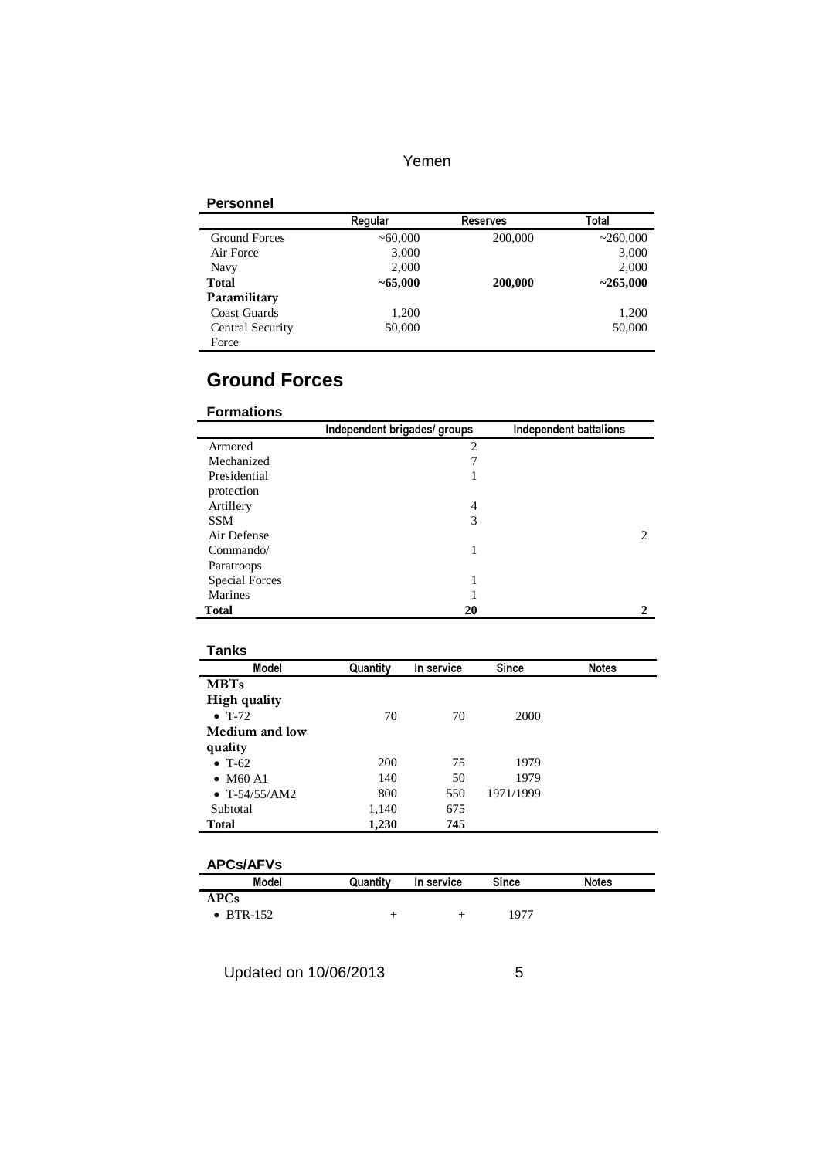### **Personnel**

|                      | Regular  | <b>Reserves</b> | Total          |
|----------------------|----------|-----------------|----------------|
| <b>Ground Forces</b> | ~100,000 | 200,000         | ~260,000       |
| Air Force            | 3,000    |                 | 3,000          |
| <b>Navy</b>          | 2,000    |                 | 2,000          |
| <b>Total</b>         | ~1000    | 200,000         | $~1 - 265,000$ |
| Paramilitary         |          |                 |                |
| Coast Guards         | 1,200    |                 | 1,200          |
| Central Security     | 50,000   |                 | 50,000         |
| Force                |          |                 |                |

# **Ground Forces**

## **Formations**

|                       | Independent brigades/ groups | Independent battalions |
|-----------------------|------------------------------|------------------------|
| Armored               | $\overline{c}$               |                        |
| Mechanized            |                              |                        |
| Presidential          |                              |                        |
| protection            |                              |                        |
| Artillery             | 4                            |                        |
| <b>SSM</b>            | 3                            |                        |
| Air Defense           |                              |                        |
| Commando/             |                              |                        |
| Paratroops            |                              |                        |
| <b>Special Forces</b> |                              |                        |
| Marines               |                              |                        |
| <b>Total</b>          | 20                           |                        |

# **Tanks**

| Model            | Quantity   | In service | <b>Since</b> | <b>Notes</b> |
|------------------|------------|------------|--------------|--------------|
| <b>MBTs</b>      |            |            |              |              |
| High quality     |            |            |              |              |
| $\bullet$ T-72   | 70         | 70         | 2000         |              |
| Medium and low   |            |            |              |              |
| quality          |            |            |              |              |
| $\bullet$ T-62   | <b>200</b> | 75         | 1979         |              |
| $\bullet$ M60 A1 | 140        | 50         | 1979         |              |
| • $T-54/55/AM2$  | 800        | 550        | 1971/1999    |              |
| Subtotal         | 1,140      | 675        |              |              |
| Total            | 1,230      | 745        |              |              |

# **APCs/AFVs**

| Model             | Quantity | In service | <b>Since</b> | <b>Notes</b> |
|-------------------|----------|------------|--------------|--------------|
| APCs              |          |            |              |              |
| $\bullet$ BTR-152 |          |            | 1977         |              |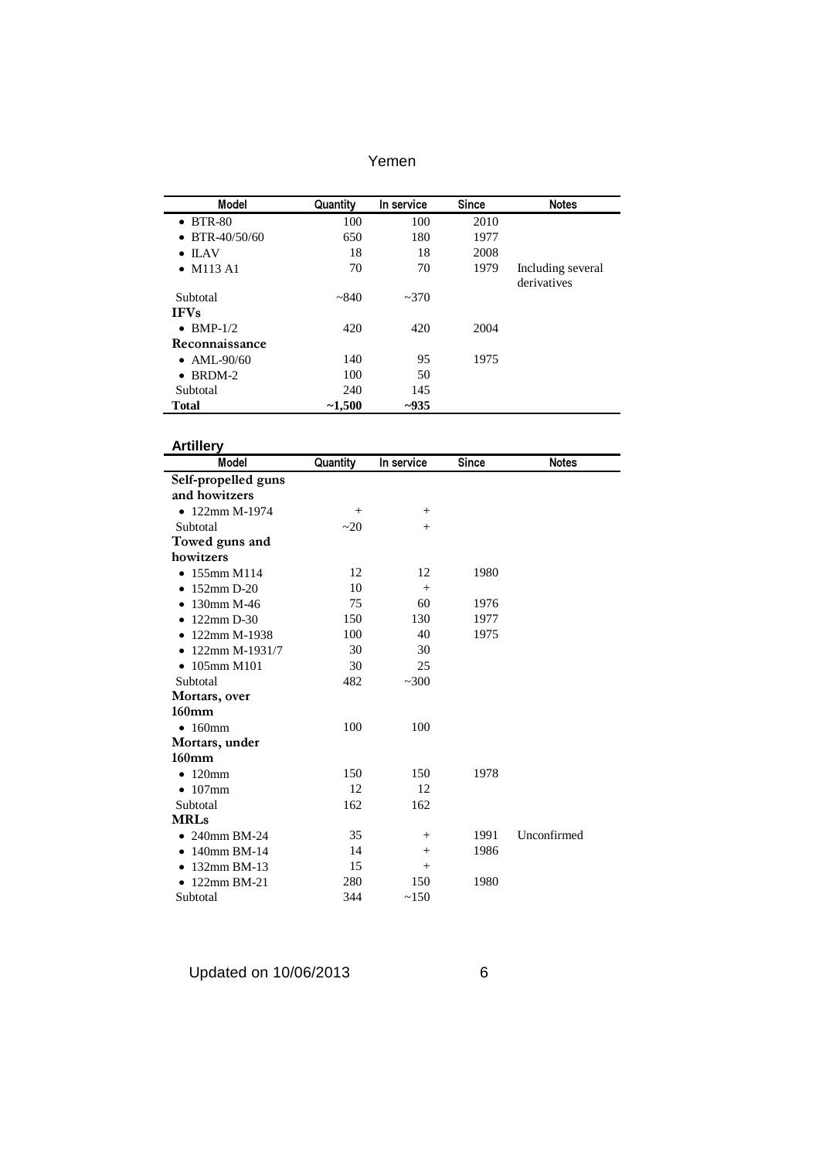| <b>Model</b>      | Quantity | In service | <b>Since</b> | <b>Notes</b>                     |
|-------------------|----------|------------|--------------|----------------------------------|
| $\bullet$ BTR-80  | 100      | 100        | 2010         |                                  |
| • BTR-40/50/60    | 650      | 180        | 1977         |                                  |
| $\bullet$ ILAV    | 18       | 18         | 2008         |                                  |
| • $M113A1$        | 70       | 70         | 1979         | Including several<br>derivatives |
| Subtotal          | ~1840    | $-370$     |              |                                  |
| <b>IFVs</b>       |          |            |              |                                  |
| $\bullet$ BMP-1/2 | 420      | 420        | 2004         |                                  |
| Reconnaissance    |          |            |              |                                  |
| • AML-90/60       | 140      | 95         | 1975         |                                  |
| $\bullet$ BRDM-2  | 100      | 50         |              |                                  |
| Subtotal          | 240      | 145        |              |                                  |
| <b>Total</b>      | $-1,500$ | $-935$     |              |                                  |

## **Artillery**

| Artillery                |          |            |              |              |
|--------------------------|----------|------------|--------------|--------------|
| <b>Model</b>             | Quantity | In service | <b>Since</b> | <b>Notes</b> |
| Self-propelled guns      |          |            |              |              |
| and howitzers            |          |            |              |              |
| $\bullet$ 122mm M-1974   | $^{+}$   | $+$        |              |              |
| Subtotal                 | ~20      | $^{+}$     |              |              |
| Towed guns and           |          |            |              |              |
| howitzers                |          |            |              |              |
| $\bullet$ 155mm M114     | 12       | 12         | 1980         |              |
| $152$ mm D-20            | 10       | $^{+}$     |              |              |
| $130$ mm M-46            | 75       | 60         | 1976         |              |
| $\bullet$ 122mm D-30     | 150      | 130        | 1977         |              |
| $\bullet$ 122mm M-1938   | 100      | 40         | 1975         |              |
| $\bullet$ 122mm M-1931/7 | 30       | 30         |              |              |
| $105$ mm M $101$         | 30       | 25         |              |              |
| Subtotal                 | 482      | ~100       |              |              |
| Mortars, over            |          |            |              |              |
| $160$ mm                 |          |            |              |              |
| $\bullet$ 160mm          | 100      | 100        |              |              |
| Mortars, under           |          |            |              |              |
| $160$ mm                 |          |            |              |              |
| $\bullet$ 120mm          | 150      | 150        | 1978         |              |
| $107$ mm<br>٠            | 12       | 12         |              |              |
| Subtotal                 | 162      | 162        |              |              |
| <b>MRLs</b>              |          |            |              |              |
| $\bullet$ 240mm BM-24    | 35       | $+$        | 1991         | Unconfirmed  |
| 140mm BM-14<br>$\bullet$ | 14       | $+$        | 1986         |              |
| 132mm BM-13<br>٠         | 15       | $^{+}$     |              |              |
| $122$ mm BM-21           | 280      | 150        | 1980         |              |
| Subtotal                 | 344      | ~150       |              |              |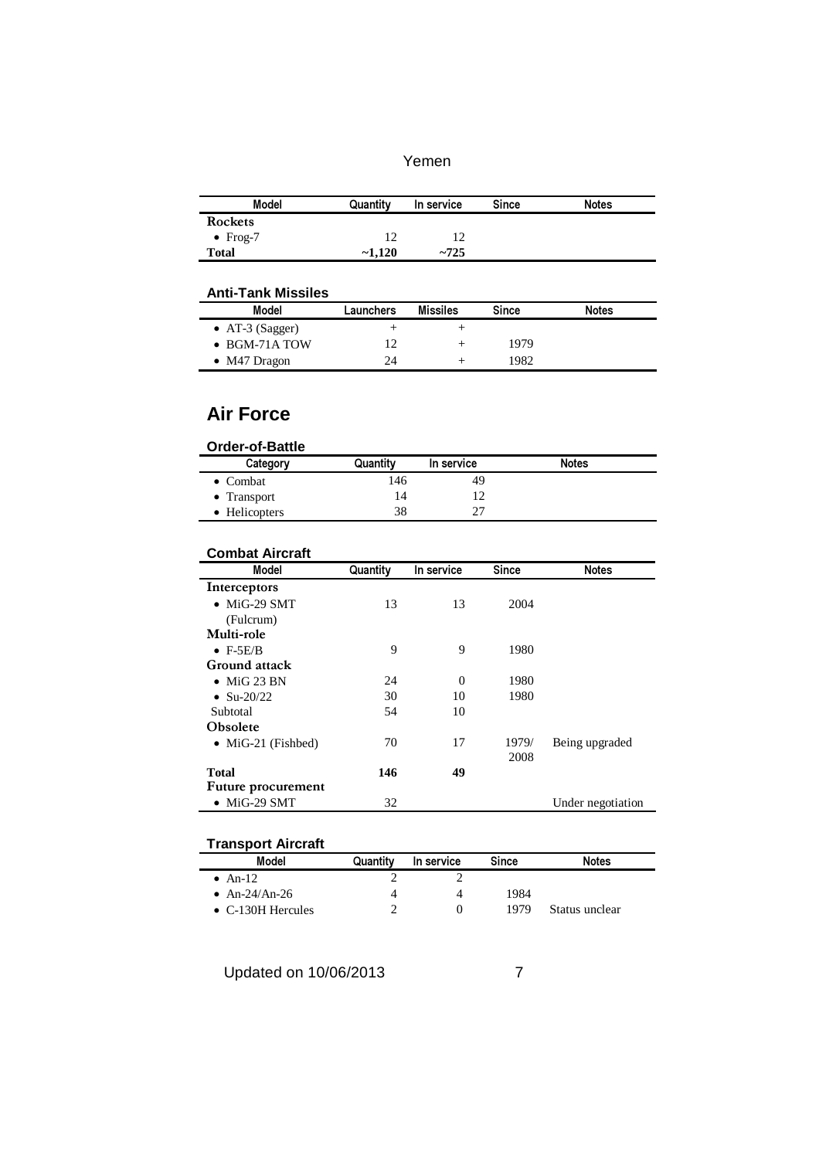| Model            | Quantity | In service | Since | <b>Notes</b> |
|------------------|----------|------------|-------|--------------|
| Rockets          |          |            |       |              |
| $\bullet$ Frog-7 |          |            |       |              |
| <b>Total</b>     | $-1,120$ | $-725$     |       |              |

# **Anti-Tank Missiles**

| Model                 | Launchers | <b>Missiles</b> | Since | <b>Notes</b> |
|-----------------------|-----------|-----------------|-------|--------------|
| • $AT-3$ (Sagger)     |           |                 |       |              |
| $\bullet$ BGM-71A TOW |           |                 | 1979  |              |
| • M47 Dragon          | 24        |                 | 1982  |              |

# **Air Force**

# **Order-of-Battle**

| Category            | Quantity | In service | Notes |
|---------------------|----------|------------|-------|
| $\bullet$ Combat    | 146      | 49         |       |
| $\bullet$ Transport | 14       |            |       |
| • Helicopters       | 38       |            |       |

# **Combat Aircraft**

| <b>Model</b>               | Quantity | In service | <b>Since</b> | <b>Notes</b>      |
|----------------------------|----------|------------|--------------|-------------------|
| Interceptors               |          |            |              |                   |
| $\bullet$ MiG-29 SMT       | 13       | 13         | 2004         |                   |
| (Fulcrum)                  |          |            |              |                   |
| Multi-role                 |          |            |              |                   |
| $\bullet$ F-5E/B           | 9        | 9          | 1980         |                   |
| Ground attack              |          |            |              |                   |
| $\bullet$ MiG 23 BN        | 24       | $\Omega$   | 1980         |                   |
| • $Su-20/22$               | 30       | 10         | 1980         |                   |
| Subtotal                   | 54       | 10         |              |                   |
| <b>Obsolete</b>            |          |            |              |                   |
| $\bullet$ MiG-21 (Fishbed) | 70       | 17         | 1979/        | Being upgraded    |
|                            |          |            | 2008         |                   |
| <b>Total</b>               | 146      | 49         |              |                   |
| Future procurement         |          |            |              |                   |
| $\bullet$ MiG-29 SMT       | 32       |            |              | Under negotiation |

# **Transport Aircraft**

| Halisport Allulait        |          |            |       |                |
|---------------------------|----------|------------|-------|----------------|
| Model                     | Quantity | In service | Since | Notes          |
| $\bullet$ An-12           |          |            |       |                |
| • $An-24/An-26$           |          |            | 1984  |                |
| $\bullet$ C-130H Hercules |          |            | 1979  | Status unclear |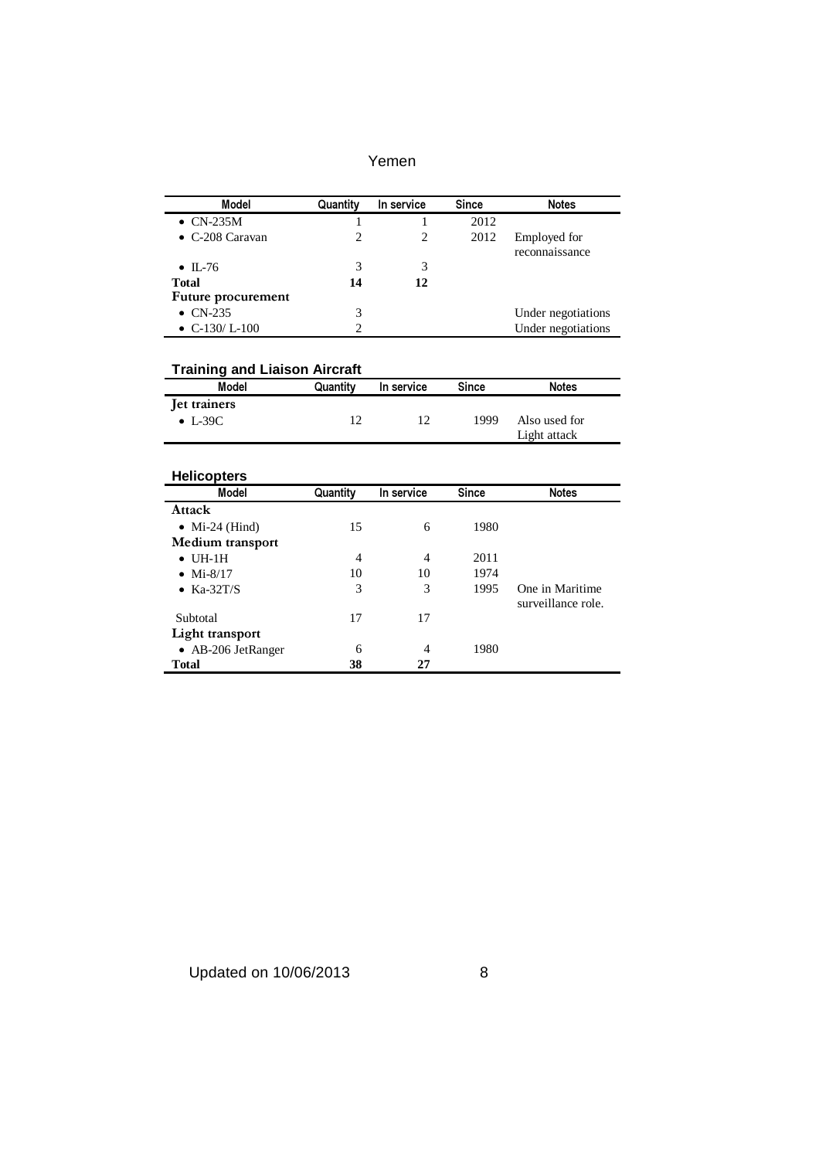| Model                   | Quantity | In service | <b>Since</b> | <b>Notes</b>                   |
|-------------------------|----------|------------|--------------|--------------------------------|
| $\bullet$ CN-235M       |          |            | 2012         |                                |
| $\bullet$ C-208 Caravan | 2        | 2          | 2012         | Employed for<br>reconnaissance |
| $\bullet$ IL-76         | 3        | 3          |              |                                |
| <b>Total</b>            | 14       | 12         |              |                                |
| Future procurement      |          |            |              |                                |
| • $CN-235$              | 3        |            |              | Under negotiations             |
| • $C-130/L-100$         |          |            |              | Under negotiations             |

#### **Training and Liaison Aircraft**

| Model                           | Quantity | In service | Since | <b>Notes</b>                  |
|---------------------------------|----------|------------|-------|-------------------------------|
| Jet trainers<br>$\bullet$ L-39C |          | 12         | 1999  | Also used for<br>Light attack |

| <b>Helicopters</b>     |          |                |              |                    |
|------------------------|----------|----------------|--------------|--------------------|
| Model                  | Quantity | In service     | <b>Since</b> | <b>Notes</b>       |
| Attack                 |          |                |              |                    |
| $\bullet$ Mi-24 (Hind) | 15       | 6              | 1980         |                    |
| Medium transport       |          |                |              |                    |
| $\bullet$ UH-1H        | 4        | $\overline{4}$ | 2011         |                    |
| • $Mi-8/17$            | 10       | 10             | 1974         |                    |
| $\bullet$ Ka-32T/S     | 3        | 3              | 1995         | One in Maritime    |
|                        |          |                |              | surveillance role. |
| Subtotal               | 17       | 17             |              |                    |
| Light transport        |          |                |              |                    |
| • AB-206 JetRanger     | 6        | 4              | 1980         |                    |
| <b>Total</b>           | 38       | 27             |              |                    |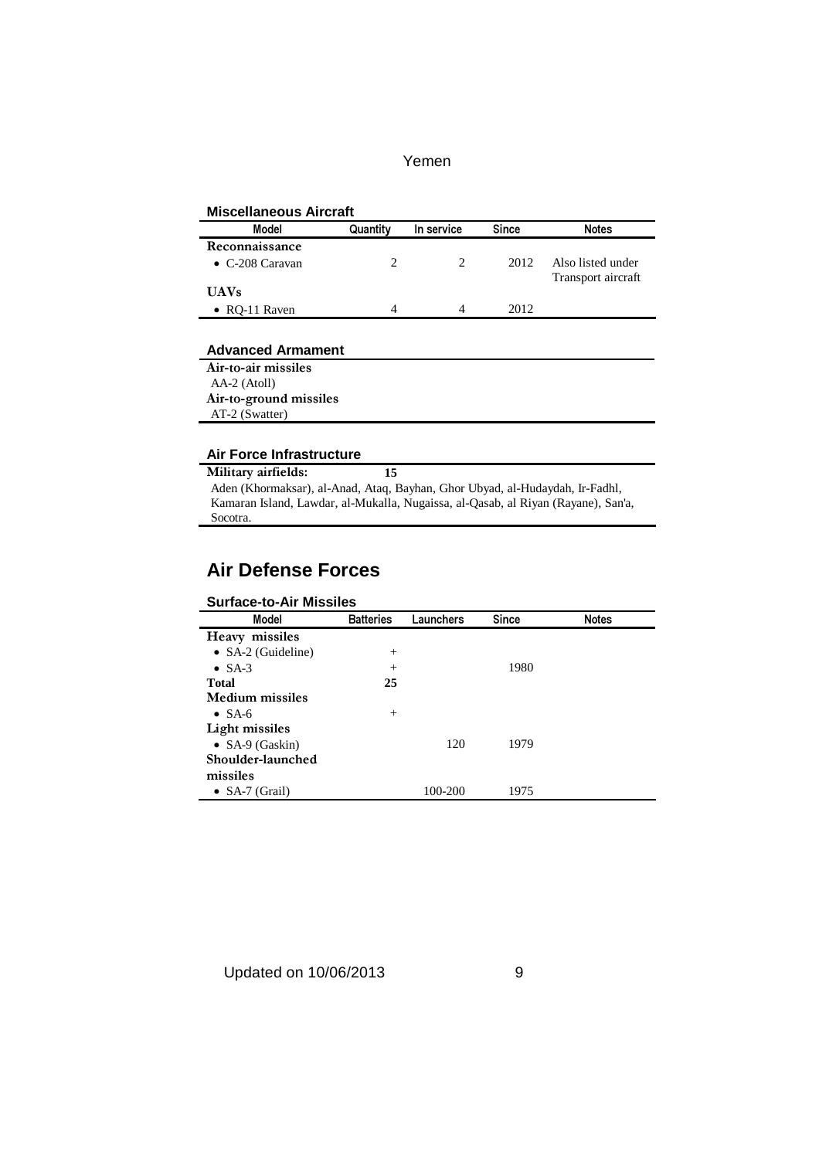| <b>Miscellaneous Aircraft</b> |                             |                             |              |                                         |  |
|-------------------------------|-----------------------------|-----------------------------|--------------|-----------------------------------------|--|
| Model                         | Quantity                    | In service                  | <b>Since</b> | <b>Notes</b>                            |  |
| Reconnaissance                |                             |                             |              |                                         |  |
| $\bullet$ C-208 Caravan       | $\mathcal{D}_{\mathcal{L}}$ | $\mathcal{D}_{\mathcal{L}}$ | 2012         | Also listed under<br>Transport aircraft |  |
| <b>UAVs</b>                   |                             |                             |              |                                         |  |
| • $RO-11$ Raven               | Δ                           |                             | 2012         |                                         |  |
|                               |                             |                             |              |                                         |  |

#### **Advanced Armament**

Air-to-air missiles AA-2 (Atoll) Air-to-ground missiles AT-2 (Swatter)

#### **Air Force Infrastructure**

Military airfields: **15**  Aden (Khormaksar), al-Anad, Ataq, Bayhan, Ghor Ubyad, al-Hudaydah, Ir-Fadhl, Kamaran Island, Lawdar, al-Mukalla, Nugaissa, al-Qasab, al Riyan (Rayane), San'a, Socotra.

# **Air Defense Forces**

#### **Surface-to-Air Missiles**  Model Batteries Launchers Since Notes Heavy missiles • SA-2 (Guideline)  $+$ •  $SA-3$  + 1980 **Total 25**  Medium missiles •  $SA-6$  + Light missiles • SA-9 (Gaskin) 120 1979 Shoulder-launched missiles • SA-7 (Grail) 100-200 1975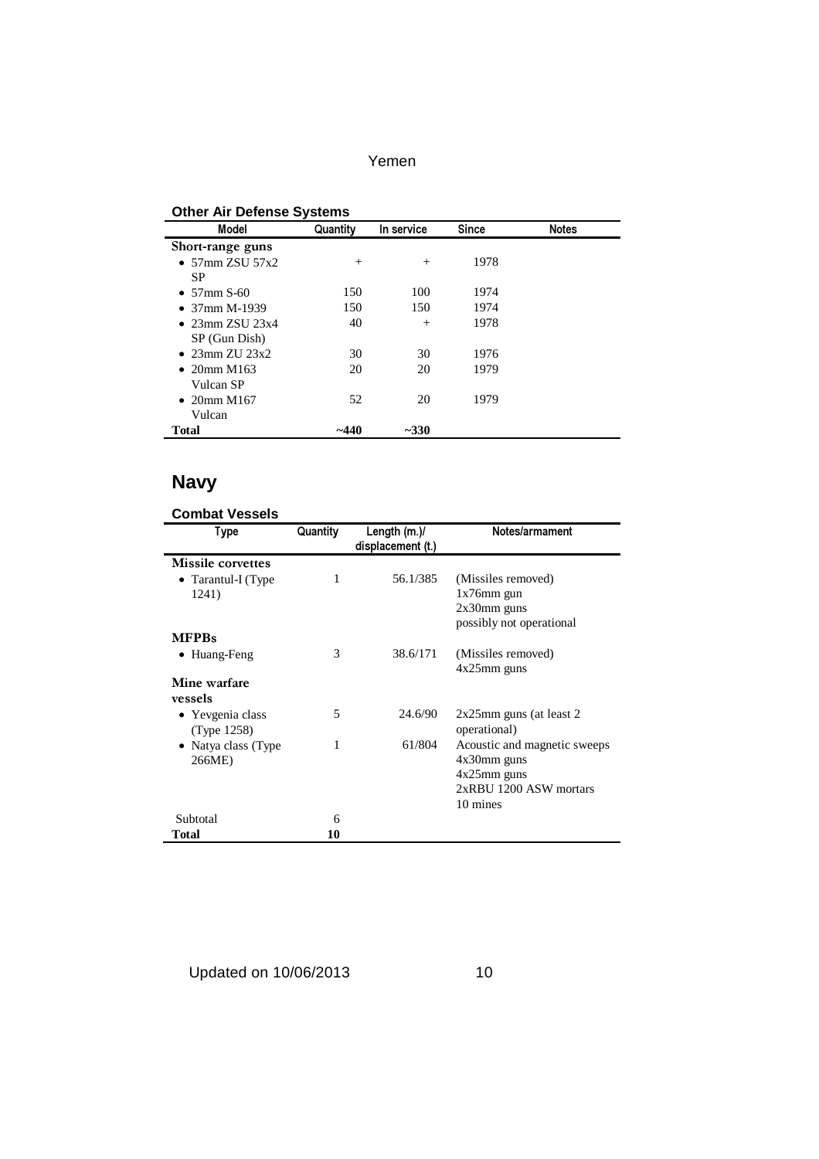| <b>Other Air Defense Systems</b> |                        |        |              |              |  |
|----------------------------------|------------------------|--------|--------------|--------------|--|
| Model                            | Quantity<br>In service |        | <b>Since</b> | <b>Notes</b> |  |
| Short-range guns                 |                        |        |              |              |  |
| • 57mm ZSU 57x2                  | $^{+}$                 | $^{+}$ | 1978         |              |  |
| <b>SP</b>                        |                        |        |              |              |  |
| • $57 \text{mm}$ S-60            | 150                    | 100    | 1974         |              |  |
| • 37mm M-1939                    | 150                    | 150    | 1974         |              |  |
| $\bullet$ 23mm ZSU 23x4          | 40                     | $^{+}$ | 1978         |              |  |
| SP (Gun Dish)                    |                        |        |              |              |  |
| $\bullet$ 23mm ZU 23x2           | 30                     | 30     | 1976         |              |  |
| • 20mm M163                      | 20                     | 20     | 1979         |              |  |
| Vulcan SP                        |                        |        |              |              |  |
| • 20mm M167                      | 52                     | 20     | 1979         |              |  |
| Vulcan                           |                        |        |              |              |  |
| <b>Total</b>                     | $-440$                 | $-330$ |              |              |  |

# **Navy**

#### **Combat Vessels**  Type Quantity Length (m.)/ displacement (t.) Notes/armament Missile corvettes • Tarantul-I (Type 1241) 1 56.1/385 (Missiles removed) 1x76mm gun 2x30mm guns possibly not operational MFPBs • Huang-Feng 3 38.6/171 (Missiles removed) 4x25mm guns Mine warfare vessels • Yevgenia class (Type 1258) 5 24.6/90 2x25mm guns (at least 2 operational) • Natya class (Type 266ME) 1 61/804 Acoustic and magnetic sweeps 4x30mm guns 4x25mm guns 2xRBU 1200 ASW mortars 10 mines Subtotal 6 **Total 10**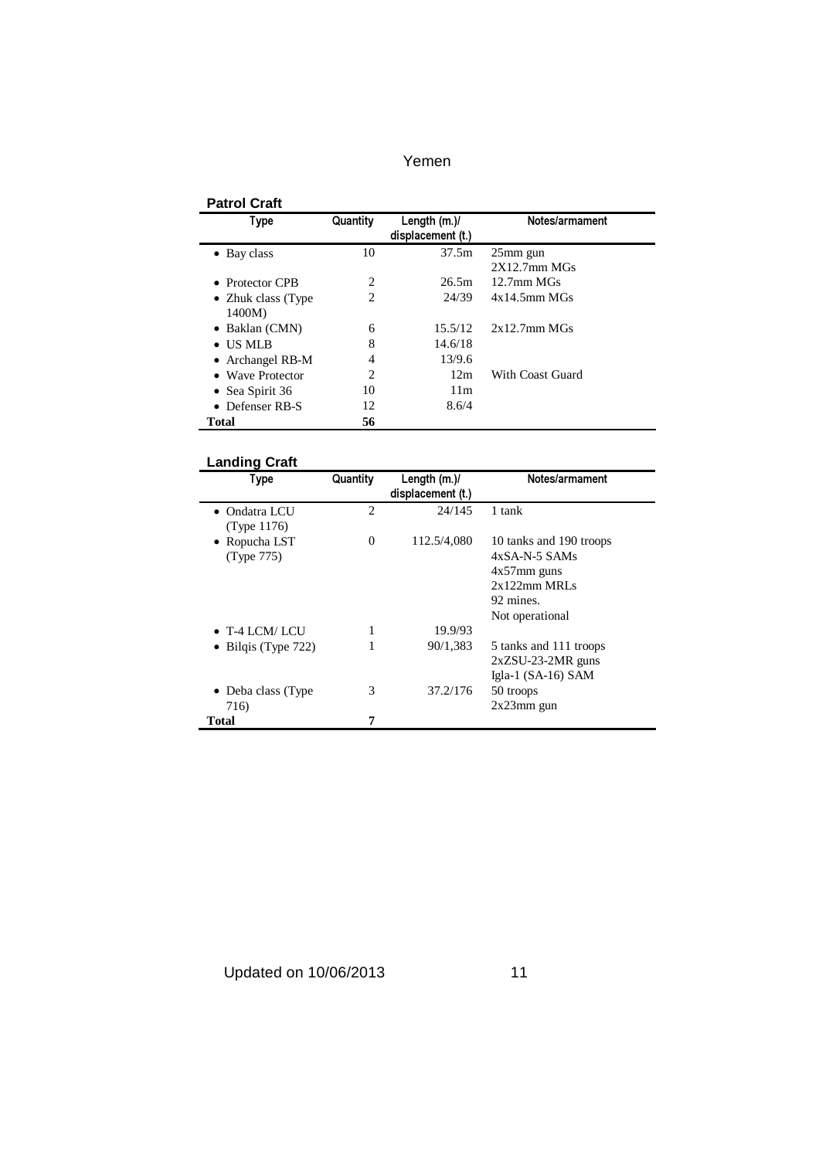#### **Patrol Craft**

| Type                | Quantity | Length $(m.)/$    | Notes/armament     |
|---------------------|----------|-------------------|--------------------|
|                     |          | displacement (t.) |                    |
| $\bullet$ Bay class | 10       | 37.5m             | 25mm gun           |
|                     |          |                   | $2X12.7$ mm M $Gs$ |
| • Protector CPB     | 2        | 26.5m             | $12.7mm$ MGs       |
| • Zhuk class (Type  | 2        | 24/39             | $4x14.5mm$ MGs     |
| 1400M)              |          |                   |                    |
| • Baklan (CMN)      | 6        | 15.5/12           | $2x12.7$ mm M $Gs$ |
| $\bullet$ US MLB    | 8        | 14.6/18           |                    |
| • Archangel RB-M    | 4        | 13/9.6            |                    |
| • Wave Protector    | 2        | 12m               | With Coast Guard   |
| • Sea Spirit $36$   | 10       | 11m               |                    |
| • Defenser RB-S     | 12       | 8.6/4             |                    |
| <b>Total</b>        | 56       |                   |                    |

| <b>Landing Craft</b>         |               |                                   |                                                                                                                 |
|------------------------------|---------------|-----------------------------------|-----------------------------------------------------------------------------------------------------------------|
| Type                         | Quantity      | Length (m.)/<br>displacement (t.) | Notes/armament                                                                                                  |
| • Ondatra LCU<br>(Type 1176) | $\mathcal{L}$ | 24/145                            | 1 tank                                                                                                          |
| • Ropucha LST<br>(Type 775)  | $\Omega$      | 112.5/4,080                       | 10 tanks and 190 troops<br>$4xSA-N-5$ SAMs<br>$4x57$ mm guns<br>$2x122$ mm MRLs<br>92 mines.<br>Not operational |
| $\bullet$ T-4 LCM/ LCU       | 1             | 19.9/93                           |                                                                                                                 |
| $\bullet$ Bilgis (Type 722)  | 1             | 90/1,383                          | 5 tanks and 111 troops<br>$2xZSU-23-2MR$ guns<br>Igla-1 $(SA-16)$ SAM                                           |
| Deba class (Type<br>716)     | 3             | 37.2/176                          | 50 troops<br>$2x23$ mm gun                                                                                      |
| Total                        | 7             |                                   |                                                                                                                 |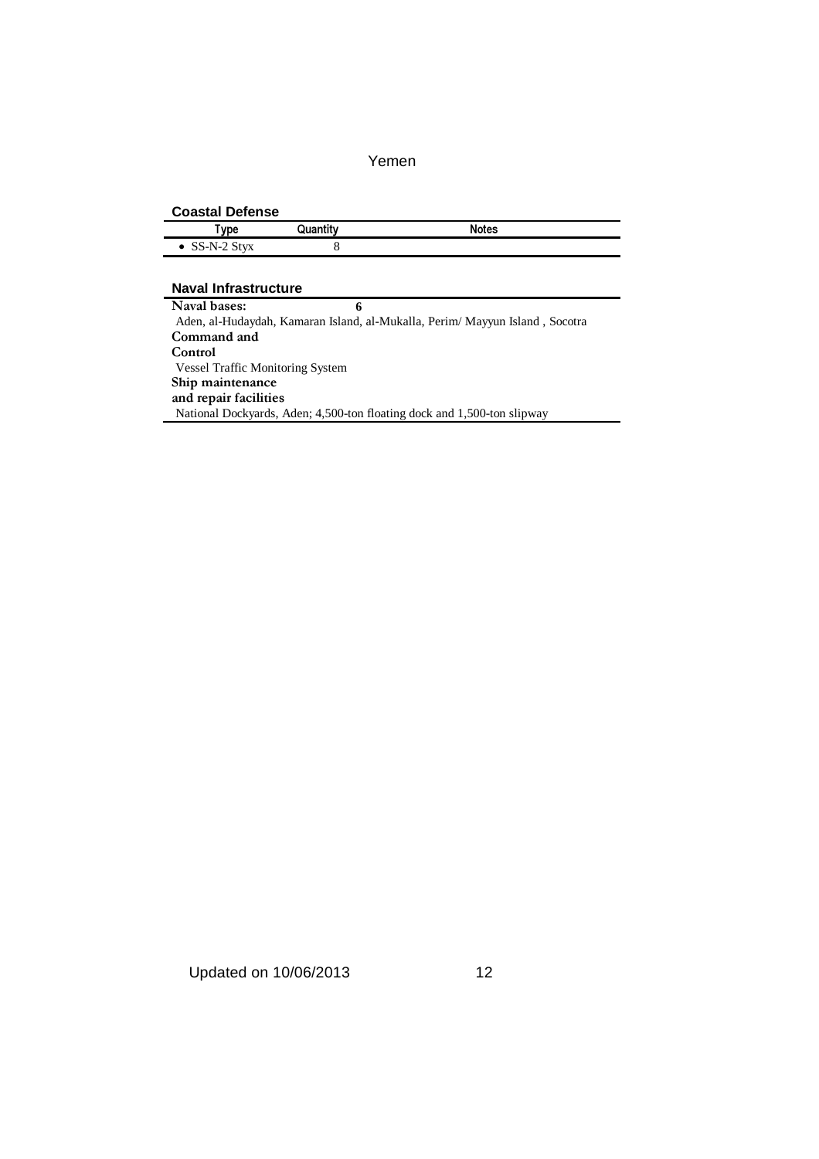### **Coastal Defense**

| vpe                                     | uantity | <b>Notes</b> |
|-----------------------------------------|---------|--------------|
| 2 C NT<br>-2 Styx<br>$\mathbf{v}$<br>ມມ |         |              |

## **Naval Infrastructure**

| Naval bases:<br>6                                                           |  |
|-----------------------------------------------------------------------------|--|
| Aden, al-Hudaydah, Kamaran Island, al-Mukalla, Perim/Mayyun Island, Socotra |  |
| Command and                                                                 |  |
| Control                                                                     |  |
| <b>Vessel Traffic Monitoring System</b>                                     |  |
| Ship maintenance                                                            |  |
| and repair facilities                                                       |  |
| National Dockyards, Aden; 4,500-ton floating dock and 1,500-ton slipway     |  |